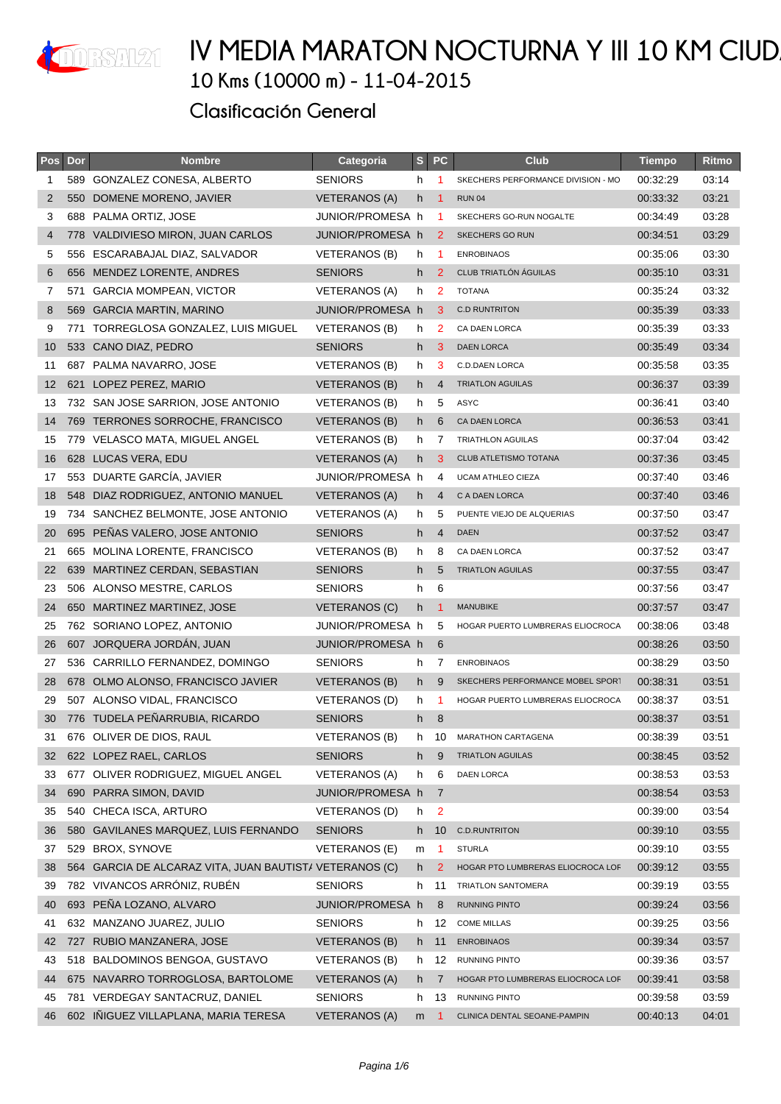

| Pos            | Dor | <b>Nombre</b>                                           | Categoria            | s <sub>1</sub> | <b>PC</b>            | Club                               | <b>Tiempo</b> | Ritmo |
|----------------|-----|---------------------------------------------------------|----------------------|----------------|----------------------|------------------------------------|---------------|-------|
| 1              |     | 589 GONZALEZ CONESA, ALBERTO                            | <b>SENIORS</b>       | h              | -1                   | SKECHERS PERFORMANCE DIVISION - MO | 00:32:29      | 03:14 |
| 2              |     | 550 DOMENE MORENO, JAVIER                               | <b>VETERANOS (A)</b> | h              | -1                   | <b>RUN 04</b>                      | 00:33:32      | 03:21 |
| 3              |     | 688 PALMA ORTIZ, JOSE                                   | JUNIOR/PROMESA h     |                | $\blacktriangleleft$ | SKECHERS GO-RUN NOGALTE            | 00:34:49      | 03:28 |
| $\overline{4}$ |     | 778 VALDIVIESO MIRON, JUAN CARLOS                       | JUNIOR/PROMESA h     |                | 2                    | SKECHERS GO RUN                    | 00:34:51      | 03:29 |
| 5              |     | 556 ESCARABAJAL DIAZ, SALVADOR                          | VETERANOS (B)        | h              | -1                   | <b>ENROBINAOS</b>                  | 00:35:06      | 03:30 |
| 6              |     | 656 MENDEZ LORENTE, ANDRES                              | <b>SENIORS</b>       | h.             | $\overline{2}$       | CLUB TRIATLÓN ÁGUILAS              | 00:35:10      | 03:31 |
| 7              |     | 571 GARCIA MOMPEAN, VICTOR                              | VETERANOS (A)        | h.             | 2                    | <b>TOTANA</b>                      | 00:35:24      | 03:32 |
| 8              | 569 | <b>GARCIA MARTIN, MARINO</b>                            | JUNIOR/PROMESA h     |                | 3                    | <b>C.D RUNTRITON</b>               | 00:35:39      | 03:33 |
| 9              | 771 | TORREGLOSA GONZALEZ. LUIS MIGUEL                        | VETERANOS (B)        | h.             | 2                    | CA DAEN LORCA                      | 00:35:39      | 03:33 |
| 10             |     | 533 CANO DIAZ, PEDRO                                    | <b>SENIORS</b>       | h              | 3                    | <b>DAEN LORCA</b>                  | 00:35:49      | 03:34 |
| 11             |     | 687 PALMA NAVARRO, JOSE                                 | VETERANOS (B)        | h              | 3                    | <b>C.D.DAEN LORCA</b>              | 00:35:58      | 03:35 |
| 12             |     | 621 LOPEZ PEREZ, MARIO                                  | VETERANOS (B)        | h.             | $\overline{4}$       | <b>TRIATLON AGUILAS</b>            | 00:36:37      | 03:39 |
| 13             |     | 732 SAN JOSE SARRION, JOSE ANTONIO                      | VETERANOS (B)        | h.             | 5                    | <b>ASYC</b>                        | 00:36:41      | 03:40 |
| 14             |     | 769 TERRONES SORROCHE, FRANCISCO                        | VETERANOS (B)        | h.             | 6                    | CA DAEN LORCA                      | 00:36:53      | 03:41 |
| 15             |     | 779 VELASCO MATA, MIGUEL ANGEL                          | <b>VETERANOS (B)</b> | h.             | 7                    | TRIATHLON AGUILAS                  | 00:37:04      | 03:42 |
| 16             |     | 628 LUCAS VERA, EDU                                     | <b>VETERANOS (A)</b> | h.             | 3                    | CLUB ATLETISMO TOTANA              | 00:37:36      | 03:45 |
| 17             |     | 553 DUARTE GARCÍA, JAVIER                               | JUNIOR/PROMESA h     |                | 4                    | <b>UCAM ATHLEO CIEZA</b>           | 00:37:40      | 03:46 |
| 18             |     | 548 DIAZ RODRIGUEZ, ANTONIO MANUEL                      | VETERANOS (A)        | h.             | $\overline{4}$       | C A DAEN LORCA                     | 00:37:40      | 03:46 |
| 19             | 734 | SANCHEZ BELMONTE, JOSE ANTONIO                          | <b>VETERANOS (A)</b> | h.             | 5                    | PUENTE VIEJO DE ALQUERIAS          | 00:37:50      | 03:47 |
| 20             | 695 | PEÑAS VALERO, JOSE ANTONIO                              | <b>SENIORS</b>       | h              | $\overline{4}$       | <b>DAEN</b>                        | 00:37:52      | 03:47 |
| 21             |     | 665 MOLINA LORENTE, FRANCISCO                           | VETERANOS (B)        | h              | 8                    | CA DAEN LORCA                      | 00:37:52      | 03:47 |
| 22             | 639 | MARTINEZ CERDAN, SEBASTIAN                              | <b>SENIORS</b>       | h              | 5                    | <b>TRIATLON AGUILAS</b>            | 00:37:55      | 03:47 |
| 23             |     | 506 ALONSO MESTRE, CARLOS                               | <b>SENIORS</b>       | h              | 6                    |                                    | 00:37:56      | 03:47 |
| 24             |     | 650 MARTINEZ MARTINEZ, JOSE                             | VETERANOS (C)        | h              | -1                   | <b>MANUBIKE</b>                    | 00:37:57      | 03:47 |
| 25             |     | 762 SORIANO LOPEZ, ANTONIO                              | JUNIOR/PROMESA h     |                | 5                    | HOGAR PUERTO LUMBRERAS ELIOCROCA   | 00:38:06      | 03:48 |
| 26             |     | 607 JORQUERA JORDÁN, JUAN                               | JUNIOR/PROMESA h     |                | 6                    |                                    | 00:38:26      | 03:50 |
| 27             |     | 536 CARRILLO FERNANDEZ, DOMINGO                         | <b>SENIORS</b>       | h.             | 7                    | <b>ENROBINAOS</b>                  | 00:38:29      | 03:50 |
| 28             |     | 678 OLMO ALONSO, FRANCISCO JAVIER                       | VETERANOS (B)        | h.             | 9                    | SKECHERS PERFORMANCE MOBEL SPORT   | 00:38:31      | 03:51 |
| 29             |     | 507 ALONSO VIDAL, FRANCISCO                             | VETERANOS (D)        | h.             | $\blacktriangleleft$ | HOGAR PUERTO LUMBRERAS ELIOCROCA   | 00:38:37      | 03:51 |
| 30             |     | 776 TUDELA PEÑARRUBIA, RICARDO                          | <b>SENIORS</b>       | h              | 8                    |                                    | 00:38:37      | 03:51 |
| 31             |     | 676 OLIVER DE DIOS, RAUL                                | VETERANOS (B)        | h.             | 10                   | <b>MARATHON CARTAGENA</b>          | 00:38:39      | 03:51 |
| 32             |     | 622 LOPEZ RAEL, CARLOS                                  | <b>SENIORS</b>       | h              | 9                    | <b>TRIATLON AGUILAS</b>            | 00:38:45      | 03:52 |
| 33             |     | 677 OLIVER RODRIGUEZ, MIGUEL ANGEL                      | <b>VETERANOS (A)</b> | h              | 6                    | <b>DAEN LORCA</b>                  | 00:38:53      | 03:53 |
| 34             | 690 | PARRA SIMON, DAVID                                      | JUNIOR/PROMESA h     |                | 7                    |                                    | 00:38:54      | 03:53 |
| 35             |     | 540 CHECA ISCA, ARTURO                                  | VETERANOS (D)        | h              | $\overline{2}$       |                                    | 00:39:00      | 03:54 |
| 36             | 580 | GAVILANES MARQUEZ, LUIS FERNANDO                        | <b>SENIORS</b>       | h.             | 10                   | C.D.RUNTRITON                      | 00:39:10      | 03:55 |
| 37             | 529 | BROX, SYNOVE                                            | VETERANOS (E)        | m              | $\mathbf 1$          | <b>STURLA</b>                      | 00:39:10      | 03:55 |
| 38             |     | 564 GARCIA DE ALCARAZ VITA, JUAN BAUTIST/ VETERANOS (C) |                      | h.             | 2                    | HOGAR PTO LUMBRERAS ELIOCROCA LOF  | 00:39:12      | 03:55 |
| 39             |     | 782 VIVANCOS ARRÓNIZ, RUBÉN                             | <b>SENIORS</b>       | h.             | 11                   | TRIATLON SANTOMERA                 | 00:39:19      | 03:55 |
| 40             |     | 693 PEÑA LOZANO, ALVARO                                 | JUNIOR/PROMESA h     |                | 8                    | RUNNING PINTO                      | 00:39:24      | 03:56 |
| 41             | 632 | MANZANO JUAREZ, JULIO                                   | <b>SENIORS</b>       | h              | 12                   | <b>COME MILLAS</b>                 | 00:39:25      | 03:56 |
| 42             |     | 727 RUBIO MANZANERA, JOSE                               | <b>VETERANOS (B)</b> | h.             | 11                   | <b>ENROBINAOS</b>                  | 00:39:34      | 03:57 |
| 43             |     | 518 BALDOMINOS BENGOA, GUSTAVO                          | VETERANOS (B)        |                | h 12                 | RUNNING PINTO                      | 00:39:36      | 03:57 |
| 44             |     | 675 NAVARRO TORROGLOSA, BARTOLOME                       | <b>VETERANOS (A)</b> | h.             | 7                    | HOGAR PTO LUMBRERAS ELIOCROCA LOF  | 00:39:41      | 03:58 |
| 45             |     | 781 VERDEGAY SANTACRUZ, DANIEL                          | <b>SENIORS</b>       | h.             | 13                   | RUNNING PINTO                      | 00:39:58      | 03:59 |
| 46             |     | 602 IÑIGUEZ VILLAPLANA, MARIA TERESA                    | <b>VETERANOS (A)</b> | m              | -1                   | CLINICA DENTAL SEOANE-PAMPIN       | 00:40:13      | 04:01 |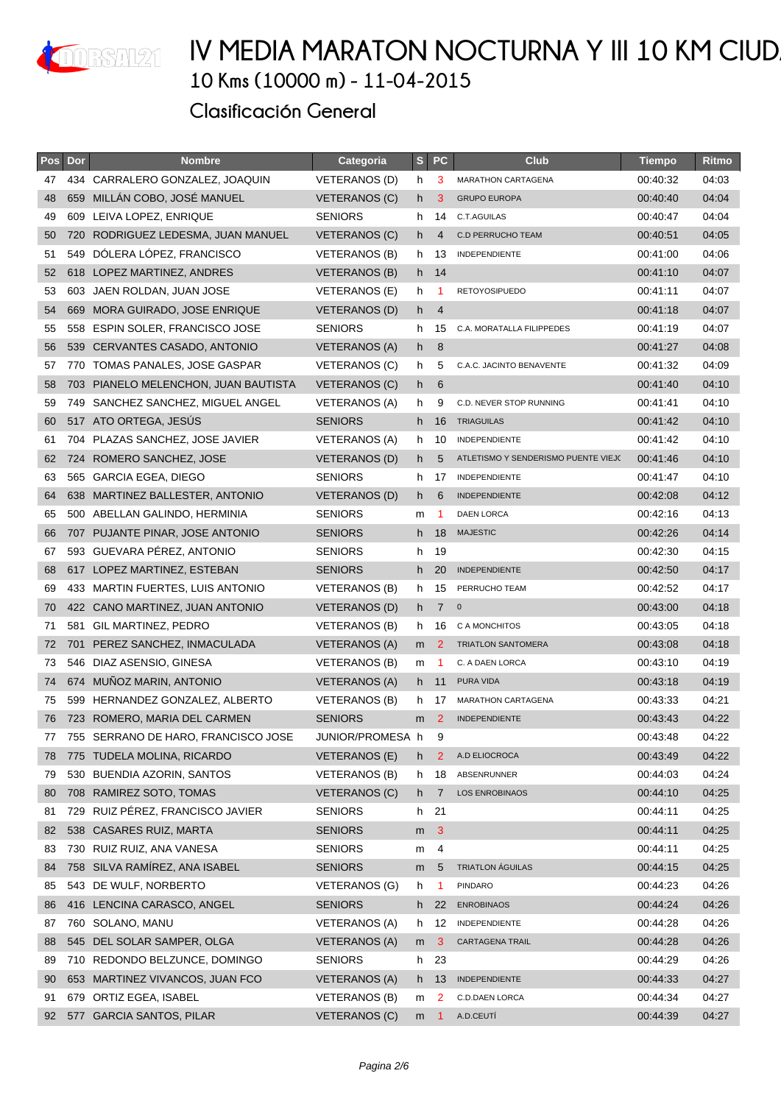

| Pos | Dor | <b>Nombre</b>                        | Categoria            | S   | <b>PC</b>      | Club                                | <b>Tiempo</b> | Ritmo |
|-----|-----|--------------------------------------|----------------------|-----|----------------|-------------------------------------|---------------|-------|
| 47  |     | 434 CARRALERO GONZALEZ, JOAQUIN      | <b>VETERANOS (D)</b> | h   | 3              | MARATHON CARTAGENA                  | 00:40:32      | 04:03 |
| 48  | 659 | MILLÁN COBO, JOSÉ MANUEL             | VETERANOS (C)        | h   | 3              | <b>GRUPO EUROPA</b>                 | 00:40:40      | 04:04 |
| 49  |     | 609 LEIVA LOPEZ, ENRIQUE             | <b>SENIORS</b>       | h   | 14             | C.T.AGUILAS                         | 00:40:47      | 04:04 |
| 50  |     | 720 RODRIGUEZ LEDESMA, JUAN MANUEL   | VETERANOS (C)        | h.  | 4              | <b>C.D PERRUCHO TEAM</b>            | 00:40:51      | 04:05 |
| 51  | 549 | DÓLERA LÓPEZ, FRANCISCO              | VETERANOS (B)        | h.  | 13             | <b>INDEPENDIENTE</b>                | 00:41:00      | 04:06 |
| 52  |     | 618 LOPEZ MARTINEZ, ANDRES           | VETERANOS (B)        |     | h 14           |                                     | 00:41:10      | 04:07 |
| 53  |     | 603 JAEN ROLDAN, JUAN JOSE           | VETERANOS (E)        | h.  | -1             | <b>RETOYOSIPUEDO</b>                | 00:41:11      | 04:07 |
| 54  | 669 | MORA GUIRADO, JOSE ENRIQUE           | <b>VETERANOS (D)</b> | h.  | $\overline{4}$ |                                     | 00:41:18      | 04:07 |
| 55  |     | 558 ESPIN SOLER, FRANCISCO JOSE      | <b>SENIORS</b>       | h.  | 15             | C.A. MORATALLA FILIPPEDES           | 00:41:19      | 04:07 |
| 56  |     | 539 CERVANTES CASADO, ANTONIO        | <b>VETERANOS (A)</b> | h   | 8              |                                     | 00:41:27      | 04:08 |
| 57  |     | 770 TOMAS PANALES, JOSE GASPAR       | VETERANOS (C)        | h   | 5              | C.A.C. JACINTO BENAVENTE            | 00:41:32      | 04:09 |
| 58  |     | 703 PIANELO MELENCHON, JUAN BAUTISTA | VETERANOS (C)        | h.  | 6              |                                     | 00:41:40      | 04:10 |
| 59  | 749 | SANCHEZ SANCHEZ, MIGUEL ANGEL        | VETERANOS (A)        | h.  | 9              | C.D. NEVER STOP RUNNING             | 00:41:41      | 04:10 |
| 60  |     | 517 ATO ORTEGA, JESÚS                | <b>SENIORS</b>       | h   | 16             | <b>TRIAGUILAS</b>                   | 00:41:42      | 04:10 |
| 61  |     | 704 PLAZAS SANCHEZ, JOSE JAVIER      | VETERANOS (A)        | h.  | 10             | <b>INDEPENDIENTE</b>                | 00:41:42      | 04:10 |
| 62  |     | 724 ROMERO SANCHEZ, JOSE             | <b>VETERANOS (D)</b> | h.  | 5              | ATLETISMO Y SENDERISMO PUENTE VIEJO | 00:41:46      | 04:10 |
| 63  |     | 565 GARCIA EGEA, DIEGO               | <b>SENIORS</b>       | h.  | 17             | <b>INDEPENDIENTE</b>                | 00:41:47      | 04:10 |
| 64  |     | 638 MARTINEZ BALLESTER, ANTONIO      | VETERANOS (D)        | h.  | 6              | <b>INDEPENDIENTE</b>                | 00:42:08      | 04:12 |
| 65  |     | 500 ABELLAN GALINDO, HERMINIA        | <b>SENIORS</b>       | m   | -1             | DAEN LORCA                          | 00:42:16      | 04:13 |
| 66  |     | 707 PUJANTE PINAR, JOSE ANTONIO      | <b>SENIORS</b>       | h   | 18             | <b>MAJESTIC</b>                     | 00:42:26      | 04:14 |
| 67  |     | 593 GUEVARA PÉREZ, ANTONIO           | <b>SENIORS</b>       | h   | 19             |                                     | 00:42:30      | 04:15 |
| 68  |     | 617 LOPEZ MARTINEZ, ESTEBAN          | <b>SENIORS</b>       | h.  | 20             | <b>INDEPENDIENTE</b>                | 00:42:50      | 04:17 |
| 69  |     | 433 MARTIN FUERTES, LUIS ANTONIO     | VETERANOS (B)        | h.  | 15             | PERRUCHO TEAM                       | 00:42:52      | 04:17 |
| 70  |     | 422 CANO MARTINEZ, JUAN ANTONIO      | VETERANOS (D)        | h.  | $7\phantom{.}$ | $\overline{0}$                      | 00:43:00      | 04:18 |
| 71  |     | 581 GIL MARTINEZ, PEDRO              | VETERANOS (B)        | h   | 16             | C A MONCHITOS                       | 00:43:05      | 04:18 |
| 72  |     | 701 PEREZ SANCHEZ, INMACULADA        | <b>VETERANOS (A)</b> | m   | 2              | <b>TRIATLON SANTOMERA</b>           | 00:43:08      | 04:18 |
| 73  |     | 546 DIAZ ASENSIO, GINESA             | VETERANOS (B)        | m   | -1             | C. A DAEN LORCA                     | 00:43:10      | 04:19 |
| 74  |     | 674 MUÑOZ MARIN, ANTONIO             | <b>VETERANOS (A)</b> | h.  | 11             | PURA VIDA                           | 00:43:18      | 04:19 |
| 75  |     | 599 HERNANDEZ GONZALEZ, ALBERTO      | VETERANOS (B)        |     | h 17           | MARATHON CARTAGENA                  | 00:43:33      | 04:21 |
| 76  |     | 723 ROMERO, MARIA DEL CARMEN         | <b>SENIORS</b>       | m   | $\mathbf{2}$   | <b>INDEPENDIENTE</b>                | 00:43:43      | 04:22 |
| 77  |     | 755 SERRANO DE HARO, FRANCISCO JOSE  | JUNIOR/PROMESA h     |     | 9              |                                     | 00:43:48      | 04:22 |
| 78  |     | 775 TUDELA MOLINA, RICARDO           | <b>VETERANOS (E)</b> | h   | $\overline{2}$ | A.D ELIOCROCA                       | 00:43:49      | 04:22 |
| 79  | 530 | BUENDIA AZORIN, SANTOS               | <b>VETERANOS (B)</b> | h.  | 18             | ABSENRUNNER                         | 00:44:03      | 04:24 |
| 80  |     | 708 RAMIREZ SOTO, TOMAS              | <b>VETERANOS (C)</b> | h.  | $\overline{7}$ | <b>LOS ENROBINAOS</b>               | 00:44:10      | 04:25 |
| 81  | 729 | RUIZ PÉREZ, FRANCISCO JAVIER         | <b>SENIORS</b>       | h   | 21             |                                     | 00:44:11      | 04:25 |
| 82  | 538 | <b>CASARES RUIZ, MARTA</b>           | <b>SENIORS</b>       | m   | 3              |                                     | 00:44:11      | 04:25 |
| 83  |     | 730 RUIZ RUIZ, ANA VANESA            | <b>SENIORS</b>       | m   | 4              |                                     | 00:44:11      | 04:25 |
| 84  | 758 | SILVA RAMÍREZ, ANA ISABEL            | <b>SENIORS</b>       | m   | $\sqrt{5}$     | <b>TRIATLON ÁGUILAS</b>             | 00:44:15      | 04:25 |
| 85  |     | 543 DE WULF, NORBERTO                | VETERANOS (G)        | h   | -1             | <b>PINDARO</b>                      | 00:44:23      | 04:26 |
| 86  |     | 416 LENCINA CARASCO, ANGEL           | <b>SENIORS</b>       | h.  | 22             | <b>ENROBINAOS</b>                   | 00:44:24      | 04:26 |
| 87  | 760 | SOLANO, MANU                         | VETERANOS (A)        | h.  | 12             | <b>INDEPENDIENTE</b>                | 00:44:28      | 04:26 |
| 88  |     | 545 DEL SOLAR SAMPER, OLGA           | <b>VETERANOS (A)</b> | m   | 3              | CARTAGENA TRAIL                     | 00:44:28      | 04:26 |
| 89  |     | 710 REDONDO BELZUNCE, DOMINGO        | <b>SENIORS</b>       | h - | 23             |                                     | 00:44:29      | 04:26 |
| 90  |     | 653 MARTINEZ VIVANCOS, JUAN FCO      | <b>VETERANOS (A)</b> | h.  | 13             | <b>INDEPENDIENTE</b>                | 00:44:33      | 04:27 |
| 91  |     | 679 ORTIZ EGEA, ISABEL               | VETERANOS (B)        | m   | $\overline{2}$ | C.D.DAEN LORCA                      | 00:44:34      | 04:27 |
| 92  |     | 577 GARCIA SANTOS, PILAR             | <b>VETERANOS (C)</b> | m   | $\overline{1}$ | A.D.CEUTÍ                           | 00:44:39      | 04:27 |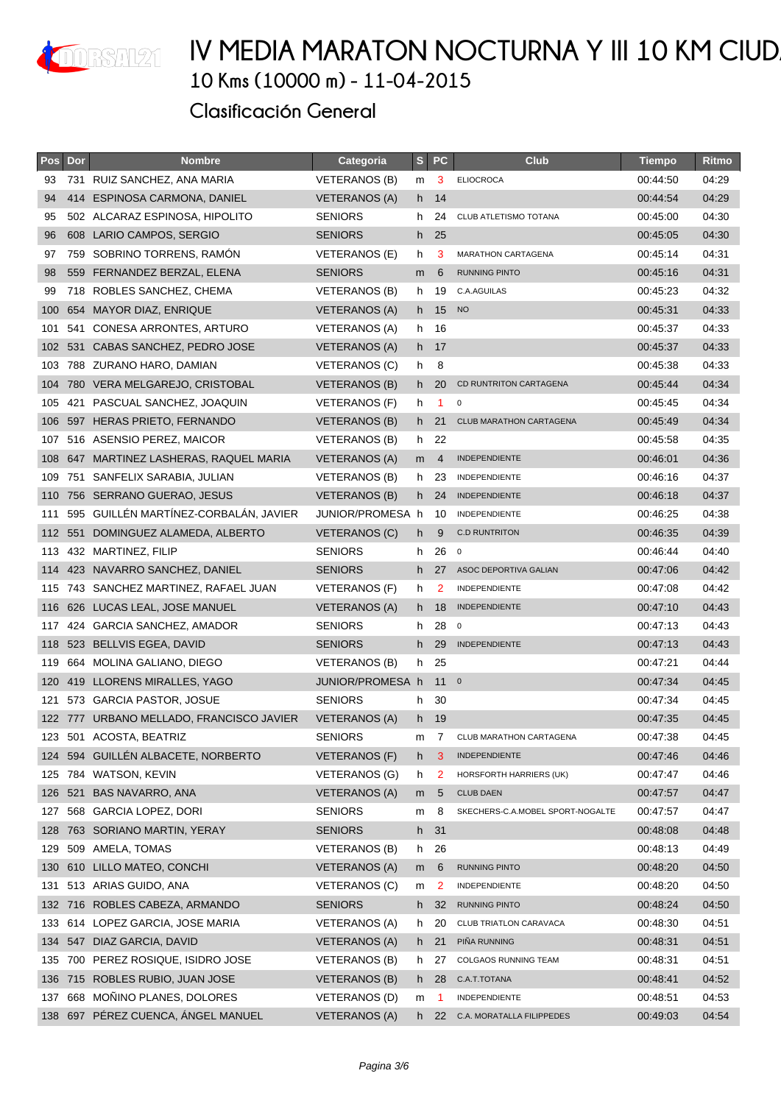

| <b>Pos</b> | Dor | <b>Nombre</b>                         | Categoria            | $s_{\parallel}$ | <b>PC</b>            | <b>Club</b>                      | <b>Tiempo</b> | Ritmo |
|------------|-----|---------------------------------------|----------------------|-----------------|----------------------|----------------------------------|---------------|-------|
| 93         |     | 731 RUIZ SANCHEZ, ANA MARIA           | VETERANOS (B)        | m               | 3                    | <b>ELIOCROCA</b>                 | 00:44:50      | 04:29 |
| 94         |     | 414 ESPINOSA CARMONA, DANIEL          | <b>VETERANOS (A)</b> | h.              | 14                   |                                  | 00:44:54      | 04:29 |
| 95         |     | 502 ALCARAZ ESPINOSA, HIPOLITO        | <b>SENIORS</b>       | h.              | 24                   | CLUB ATLETISMO TOTANA            | 00:45:00      | 04:30 |
| 96         |     | 608 LARIO CAMPOS, SERGIO              | <b>SENIORS</b>       |                 | h 25                 |                                  | 00:45:05      | 04:30 |
| 97         | 759 | SOBRINO TORRENS, RAMÓN                | VETERANOS (E)        | h               | 3                    | <b>MARATHON CARTAGENA</b>        | 00:45:14      | 04:31 |
| 98         |     | 559 FERNANDEZ BERZAL, ELENA           | <b>SENIORS</b>       | m               | 6                    | <b>RUNNING PINTO</b>             | 00:45:16      | 04:31 |
| 99         |     | 718 ROBLES SANCHEZ, CHEMA             | <b>VETERANOS (B)</b> | h.              | 19                   | C.A.AGUILAS                      | 00:45:23      | 04:32 |
| 100        |     | 654 MAYOR DIAZ, ENRIQUE               | VETERANOS (A)        | h.              | 15                   | <b>NO</b>                        | 00:45:31      | 04:33 |
| 101        |     | 541 CONESA ARRONTES, ARTURO           | <b>VETERANOS (A)</b> | h.              | 16                   |                                  | 00:45:37      | 04:33 |
| 102        |     | 531 CABAS SANCHEZ, PEDRO JOSE         | <b>VETERANOS (A)</b> |                 | h 17                 |                                  | 00:45:37      | 04:33 |
| 103        |     | 788 ZURANO HARO, DAMIAN               | VETERANOS (C)        | h               | 8                    |                                  | 00:45:38      | 04:33 |
|            |     | 104 780 VERA MELGAREJO, CRISTOBAL     | VETERANOS (B)        |                 | h 20                 | CD RUNTRITON CARTAGENA           | 00:45:44      | 04:34 |
| 105        |     | 421 PASCUAL SANCHEZ, JOAQUIN          | VETERANOS (F)        | h               | $\blacktriangleleft$ | 0                                | 00:45:45      | 04:34 |
| 106        |     | 597 HERAS PRIETO, FERNANDO            | <b>VETERANOS (B)</b> | h.              | 21                   | <b>CLUB MARATHON CARTAGENA</b>   | 00:45:49      | 04:34 |
| 107        |     | 516 ASENSIO PEREZ, MAICOR             | VETERANOS (B)        |                 | h 22                 |                                  | 00:45:58      | 04:35 |
| 108        |     | 647 MARTINEZ LASHERAS, RAQUEL MARIA   | <b>VETERANOS (A)</b> | m               | $\overline{4}$       | <b>INDEPENDIENTE</b>             | 00:46:01      | 04:36 |
| 109        |     | 751 SANFELIX SARABIA, JULIAN          | <b>VETERANOS (B)</b> | h.              | -23                  | INDEPENDIENTE                    | 00:46:16      | 04:37 |
| 110        |     | 756 SERRANO GUERAO, JESUS             | VETERANOS (B)        |                 | h 24                 | <b>INDEPENDIENTE</b>             | 00:46:18      | 04:37 |
| 111        |     | 595 GUILLÉN MARTÍNEZ-CORBALÁN, JAVIER | JUNIOR/PROMESA h     |                 | 10                   | INDEPENDIENTE                    | 00:46:25      | 04:38 |
| 112        |     | 551 DOMINGUEZ ALAMEDA, ALBERTO        | <b>VETERANOS (C)</b> | h.              | 9                    | <b>C.D RUNTRITON</b>             | 00:46:35      | 04:39 |
|            |     | 113 432 MARTINEZ, FILIP               | <b>SENIORS</b>       | h.              | 26                   | $\overline{0}$                   | 00:46:44      | 04:40 |
| 114        |     | 423 NAVARRO SANCHEZ, DANIEL           | <b>SENIORS</b>       |                 | h 27                 | ASOC DEPORTIVA GALIAN            | 00:47:06      | 04:42 |
|            |     | 115 743 SANCHEZ MARTINEZ, RAFAEL JUAN | VETERANOS (F)        | h.              | 2                    | <b>INDEPENDIENTE</b>             | 00:47:08      | 04:42 |
| 116        |     | 626 LUCAS LEAL, JOSE MANUEL           | <b>VETERANOS (A)</b> | h.              | 18                   | INDEPENDIENTE                    | 00:47:10      | 04:43 |
| 117        |     | 424 GARCIA SANCHEZ, AMADOR            | <b>SENIORS</b>       | h.              | 28                   | $\overline{\mathbf{0}}$          | 00:47:13      | 04:43 |
| 118        |     | 523 BELLVIS EGEA, DAVID               | <b>SENIORS</b>       |                 | h 29                 | <b>INDEPENDIENTE</b>             | 00:47:13      | 04:43 |
| 119        | 664 | MOLINA GALIANO, DIEGO                 | <b>VETERANOS (B)</b> | h               | 25                   |                                  | 00:47:21      | 04:44 |
| 120        |     | 419 LLORENS MIRALLES, YAGO            | JUNIOR/PROMESA h     |                 | 11 <sup>0</sup>      |                                  | 00:47:34      | 04:45 |
| 121        |     | 573 GARCIA PASTOR, JOSUE              | <b>SENIORS</b>       | h.              | -30                  |                                  | 00:47:34      | 04:45 |
| 122        |     | 777 URBANO MELLADO, FRANCISCO JAVIER  | <b>VETERANOS (A)</b> |                 | h 19                 |                                  | 00:47:35      | 04:45 |
|            |     | 123 501 ACOSTA, BEATRIZ               | <b>SENIORS</b>       | m               | 7                    | <b>CLUB MARATHON CARTAGENA</b>   | 00:47:38      | 04:45 |
| 124        |     | 594 GUILLÉN ALBACETE, NORBERTO        | VETERANOS (F)        | h.              | 3                    | <b>INDEPENDIENTE</b>             | 00:47:46      | 04:46 |
| 125        |     | 784 WATSON, KEVIN                     | VETERANOS (G)        | h               | 2                    | HORSFORTH HARRIERS (UK)          | 00:47:47      | 04:46 |
| 126        | 521 | <b>BAS NAVARRO, ANA</b>               | VETERANOS (A)        | m               | 5                    | <b>CLUB DAEN</b>                 | 00:47:57      | 04:47 |
| 127        |     | 568 GARCIA LOPEZ, DORI                | <b>SENIORS</b>       | m               | 8                    | SKECHERS-C.A.MOBEL SPORT-NOGALTE | 00:47:57      | 04:47 |
| 128        |     | 763 SORIANO MARTIN, YERAY             | <b>SENIORS</b>       | h               | 31                   |                                  | 00:48:08      | 04:48 |
| 129        | 509 | AMELA, TOMAS                          | <b>VETERANOS (B)</b> | h.              | 26                   |                                  | 00:48:13      | 04:49 |
| 130        | 610 | LILLO MATEO, CONCHI                   | <b>VETERANOS (A)</b> | m               | 6                    | RUNNING PINTO                    | 00:48:20      | 04:50 |
| 131        |     | 513 ARIAS GUIDO, ANA                  | VETERANOS (C)        | m               | $\overline{2}$       | INDEPENDIENTE                    | 00:48:20      | 04:50 |
| 132        |     | 716 ROBLES CABEZA, ARMANDO            | <b>SENIORS</b>       | h.              | 32                   | <b>RUNNING PINTO</b>             | 00:48:24      | 04:50 |
| 133        |     | 614 LOPEZ GARCIA, JOSE MARIA          | <b>VETERANOS (A)</b> | h.              | 20                   | CLUB TRIATLON CARAVACA           | 00:48:30      | 04:51 |
| 134        |     | 547 DIAZ GARCIA, DAVID                | VETERANOS (A)        | h               | 21                   | PIÑA RUNNING                     | 00:48:31      | 04:51 |
|            |     | 135 700 PEREZ ROSIQUE, ISIDRO JOSE    | VETERANOS (B)        |                 | h 27                 | COLGAOS RUNNING TEAM             | 00:48:31      | 04:51 |
| 136        |     | 715 ROBLES RUBIO, JUAN JOSE           | <b>VETERANOS (B)</b> | h.              | 28                   | C.A.T.TOTANA                     | 00:48:41      | 04:52 |
| 137        |     | 668 MOÑINO PLANES, DOLORES            | <b>VETERANOS (D)</b> | m               | -1                   | <b>INDEPENDIENTE</b>             | 00:48:51      | 04:53 |
| 138        |     | 697 PÉREZ CUENCA, ÁNGEL MANUEL        | <b>VETERANOS (A)</b> |                 | h 22                 | C.A. MORATALLA FILIPPEDES        | 00:49:03      | 04:54 |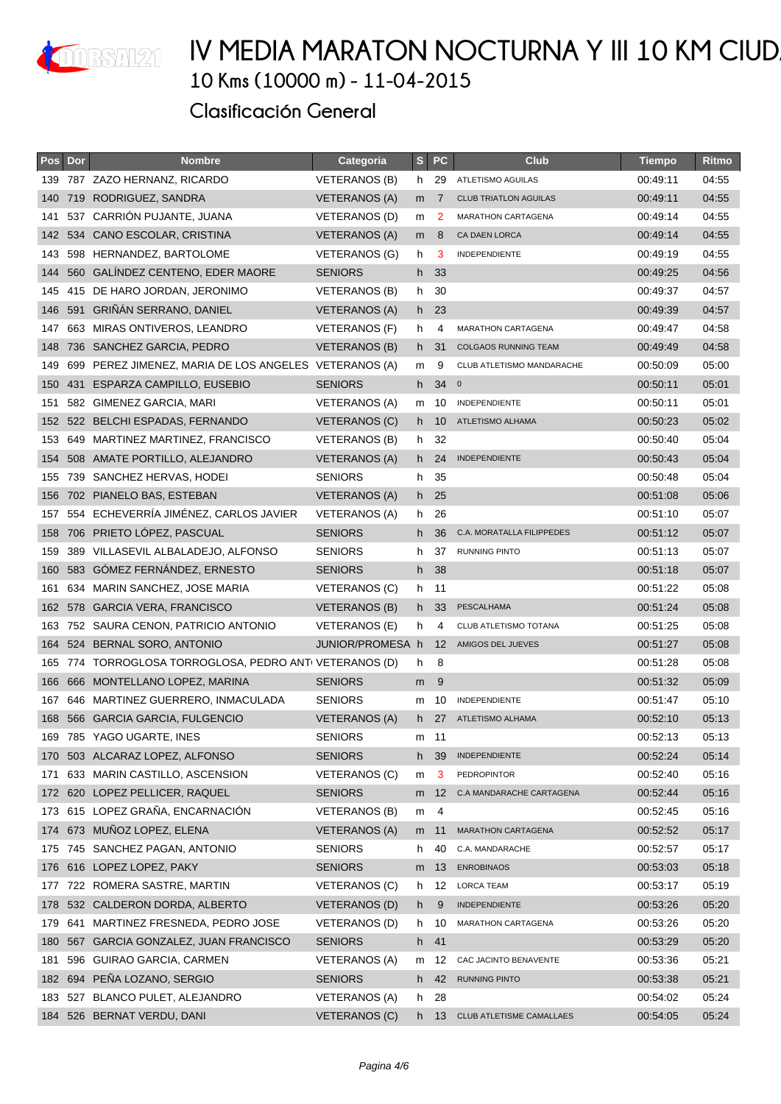

| Pos | Dor | <b>Nombre</b>                                         | Categoria            | S   | <b>PC</b>         | <b>Club</b>                  | <b>Tiempo</b> | Ritmo |
|-----|-----|-------------------------------------------------------|----------------------|-----|-------------------|------------------------------|---------------|-------|
|     |     | 139 787 ZAZO HERNANZ, RICARDO                         | VETERANOS (B)        | h.  | 29                | ATLETISMO AGUILAS            | 00:49:11      | 04:55 |
| 140 |     | 719 RODRIGUEZ, SANDRA                                 | <b>VETERANOS (A)</b> | m   | 7                 | <b>CLUB TRIATLON AGUILAS</b> | 00:49:11      | 04:55 |
| 141 |     | 537 CARRION PUJANTE, JUANA                            | VETERANOS (D)        | m   | 2                 | MARATHON CARTAGENA           | 00:49:14      | 04:55 |
| 142 |     | 534 CANO ESCOLAR, CRISTINA                            | <b>VETERANOS (A)</b> | m   | 8                 | <b>CA DAEN LORCA</b>         | 00:49:14      | 04:55 |
| 143 |     | 598 HERNANDEZ, BARTOLOME                              | <b>VETERANOS (G)</b> | h   | 3                 | <b>INDEPENDIENTE</b>         | 00:49:19      | 04:55 |
| 144 |     | 560 GALINDEZ CENTENO, EDER MAORE                      | <b>SENIORS</b>       | h   | - 33              |                              | 00:49:25      | 04:56 |
|     |     | 145 415 DE HARO JORDAN, JERONIMO                      | VETERANOS (B)        |     | h 30              |                              | 00:49:37      | 04:57 |
| 146 |     | 591 GRIÑÁN SERRANO, DANIEL                            | <b>VETERANOS (A)</b> |     | h 23              |                              | 00:49:39      | 04:57 |
| 147 |     | 663 MIRAS ONTIVEROS, LEANDRO                          | <b>VETERANOS (F)</b> | h   | 4                 | <b>MARATHON CARTAGENA</b>    | 00:49:47      | 04:58 |
| 148 |     | 736 SANCHEZ GARCIA, PEDRO                             | VETERANOS (B)        | h.  | 31                | <b>COLGAOS RUNNING TEAM</b>  | 00:49:49      | 04:58 |
| 149 |     | 699 PEREZ JIMENEZ, MARIA DE LOS ANGELES VETERANOS (A) |                      | m   | 9                 | CLUB ATLETISMO MANDARACHE    | 00:50:09      | 05:00 |
| 150 |     | 431 ESPARZA CAMPILLO, EUSEBIO                         | <b>SENIORS</b>       | h   | $34 \quad o$      |                              | 00:50:11      | 05:01 |
| 151 |     | 582 GIMENEZ GARCIA, MARI                              | <b>VETERANOS (A)</b> | m   | 10                | INDEPENDIENTE                | 00:50:11      | 05:01 |
| 152 |     | 522 BELCHI ESPADAS, FERNANDO                          | VETERANOS (C)        | h.  | 10                | ATLETISMO ALHAMA             | 00:50:23      | 05:02 |
| 153 |     | 649 MARTINEZ MARTINEZ, FRANCISCO                      | VETERANOS (B)        |     | h 32              |                              | 00:50:40      | 05:04 |
| 154 |     | 508 AMATE PORTILLO, ALEJANDRO                         | <b>VETERANOS (A)</b> | h - | 24                | <b>INDEPENDIENTE</b>         | 00:50:43      | 05:04 |
| 155 |     | 739 SANCHEZ HERVAS, HODEI                             | <b>SENIORS</b>       | h.  | 35                |                              | 00:50:48      | 05:04 |
| 156 |     | 702 PIANELO BAS, ESTEBAN                              | <b>VETERANOS (A)</b> |     | h 25              |                              | 00:51:08      | 05:06 |
| 157 |     | 554 ECHEVERRÍA JIMÉNEZ, CARLOS JAVIER                 | VETERANOS (A)        | h   | 26                |                              | 00:51:10      | 05:07 |
| 158 |     | 706 PRIETO LÓPEZ, PASCUAL                             | <b>SENIORS</b>       | h   | 36                | C.A. MORATALLA FILIPPEDES    | 00:51:12      | 05:07 |
| 159 |     | 389 VILLASEVIL ALBALADEJO, ALFONSO                    | <b>SENIORS</b>       | h   | 37                | <b>RUNNING PINTO</b>         | 00:51:13      | 05:07 |
| 160 |     | 583 GÓMEZ FERNÁNDEZ, ERNESTO                          | <b>SENIORS</b>       | h.  | 38                |                              | 00:51:18      | 05:07 |
| 161 |     | 634 MARIN SANCHEZ, JOSE MARIA                         | VETERANOS (C)        | h.  | 11                |                              | 00:51:22      | 05:08 |
| 162 |     | 578 GARCIA VERA, FRANCISCO                            | <b>VETERANOS (B)</b> | h   | 33                | PESCALHAMA                   | 00:51:24      | 05:08 |
| 163 |     | 752 SAURA CENON, PATRICIO ANTONIO                     | VETERANOS (E)        | h   | 4                 | CLUB ATLETISMO TOTANA        | 00:51:25      | 05:08 |
| 164 |     | 524 BERNAL SORO, ANTONIO                              | JUNIOR/PROMESA h     |     | $12 \overline{ }$ | AMIGOS DEL JUEVES            | 00:51:27      | 05:08 |
| 165 |     | 774 TORROGLOSA TORROGLOSA, PEDRO ANTI VETERANOS (D)   |                      | h   | 8                 |                              | 00:51:28      | 05:08 |
| 166 |     | 666 MONTELLANO LOPEZ, MARINA                          | <b>SENIORS</b>       | m   | 9                 |                              | 00:51:32      | 05:09 |
|     |     | 167 646 MARTINEZ GUERRERO, INMACULADA                 | <b>SENIORS</b>       | m   | 10                | <b>INDEPENDIENTE</b>         | 00:51:47      | 05:10 |
| 168 |     | 566 GARCIA GARCIA, FULGENCIO                          | <b>VETERANOS (A)</b> | h.  | 27                | ATLETISMO ALHAMA             | 00:52:10      | 05:13 |
|     |     | 169 785 YAGO UGARTE, INES                             | <b>SENIORS</b>       | m   | -11               |                              | 00:52:13      | 05:13 |
| 170 |     | 503 ALCARAZ LOPEZ, ALFONSO                            | <b>SENIORS</b>       | h.  | 39                | <b>INDEPENDIENTE</b>         | 00:52:24      | 05:14 |
| 171 |     | 633 MARIN CASTILLO, ASCENSION                         | <b>VETERANOS (C)</b> | m   | 3                 | PEDROPINTOR                  | 00:52:40      | 05:16 |
| 172 |     | 620 LOPEZ PELLICER, RAQUEL                            | <b>SENIORS</b>       | m   | 12                | C.A MANDARACHE CARTAGENA     | 00:52:44      | 05:16 |
| 173 |     | 615 LOPEZ GRAÑA, ENCARNACIÓN                          | <b>VETERANOS (B)</b> | m   | 4                 |                              | 00:52:45      | 05:16 |
| 174 |     | 673 MUÑOZ LOPEZ, ELENA                                | VETERANOS (A)        | m   | 11                | MARATHON CARTAGENA           | 00:52:52      | 05:17 |
| 175 |     | 745 SANCHEZ PAGAN, ANTONIO                            | <b>SENIORS</b>       | h   | 40                | C.A. MANDARACHE              | 00:52:57      | 05:17 |
| 176 |     | 616 LOPEZ LOPEZ, PAKY                                 | <b>SENIORS</b>       | m   | 13                | <b>ENROBINAOS</b>            | 00:53:03      | 05:18 |
| 177 |     | 722 ROMERA SASTRE, MARTIN                             | VETERANOS (C)        | h   | 12                | <b>LORCA TEAM</b>            | 00:53:17      | 05:19 |
| 178 |     | 532 CALDERON DORDA, ALBERTO                           | VETERANOS (D)        | h.  | 9                 | <b>INDEPENDIENTE</b>         | 00:53:26      | 05:20 |
| 179 | 641 | MARTINEZ FRESNEDA, PEDRO JOSE                         | VETERANOS (D)        | h.  | 10                | MARATHON CARTAGENA           | 00:53:26      | 05:20 |
| 180 |     | 567 GARCIA GONZALEZ, JUAN FRANCISCO                   | <b>SENIORS</b>       | h.  | 41                |                              | 00:53:29      | 05:20 |
| 181 |     | 596 GUIRAO GARCIA, CARMEN                             | <b>VETERANOS (A)</b> | m   | 12                | CAC JACINTO BENAVENTE        | 00:53:36      | 05:21 |
| 182 |     | 694 PEÑA LOZANO, SERGIO                               | <b>SENIORS</b>       | h.  | 42                | <b>RUNNING PINTO</b>         | 00:53:38      | 05:21 |
| 183 |     | 527 BLANCO PULET, ALEJANDRO                           | VETERANOS (A)        | h.  | 28                |                              | 00:54:02      | 05:24 |
| 184 |     | 526 BERNAT VERDU, DANI                                | <b>VETERANOS (C)</b> | h.  | 13                | CLUB ATLETISME CAMALLAES     | 00:54:05      | 05:24 |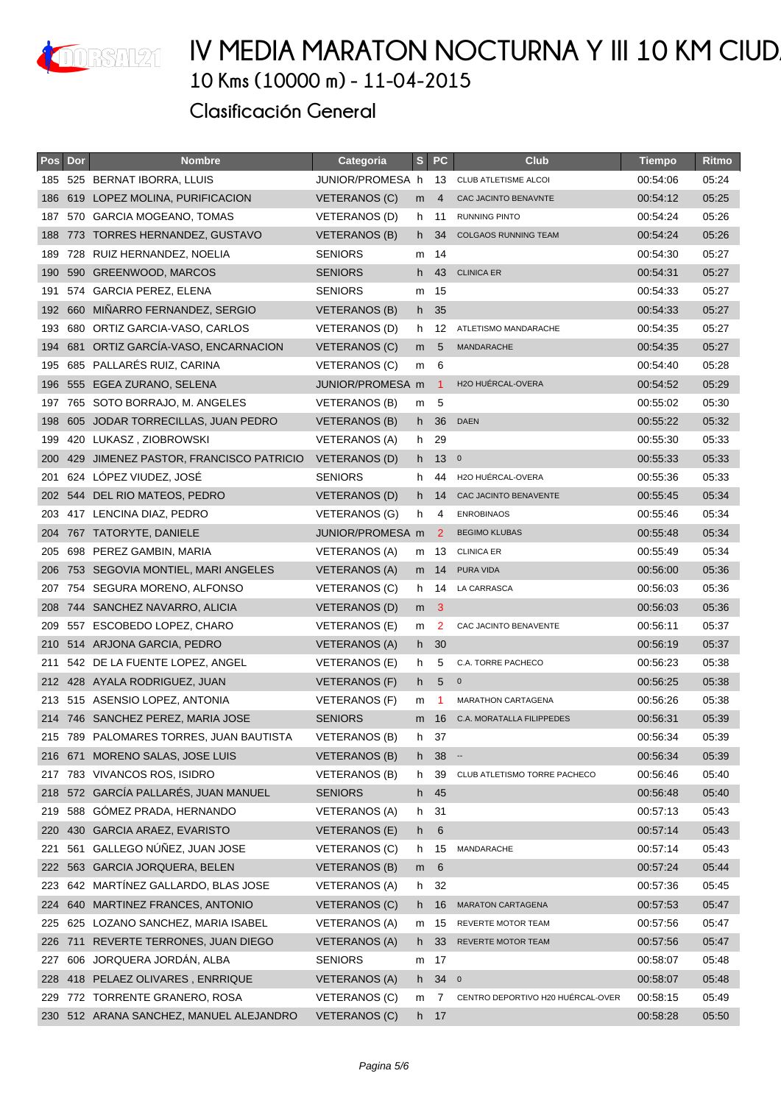

| Pos | Dor | <b>Nombre</b>                           | Categoria            | S              | <b>PC</b>       | <b>Club</b>                       | <b>Tiempo</b> | Ritmo |
|-----|-----|-----------------------------------------|----------------------|----------------|-----------------|-----------------------------------|---------------|-------|
| 185 |     | 525 BERNAT IBORRA, LLUIS                | JUNIOR/PROMESA h     |                | 13              | <b>CLUB ATLETISME ALCOI</b>       | 00:54:06      | 05:24 |
| 186 |     | 619 LOPEZ MOLINA, PURIFICACION          | <b>VETERANOS (C)</b> | m              | 4               | CAC JACINTO BENAVNTE              | 00:54:12      | 05:25 |
| 187 |     | 570 GARCIA MOGEANO, TOMAS               | VETERANOS (D)        | h.             | 11              | RUNNING PINTO                     | 00:54:24      | 05:26 |
| 188 |     | 773 TORRES HERNANDEZ, GUSTAVO           | <b>VETERANOS (B)</b> | h.             | 34              | <b>COLGAOS RUNNING TEAM</b>       | 00:54:24      | 05:26 |
| 189 |     | 728 RUIZ HERNANDEZ, NOELIA              | <b>SENIORS</b>       | m              | -14             |                                   | 00:54:30      | 05:27 |
| 190 |     | 590 GREENWOOD, MARCOS                   | <b>SENIORS</b>       | h.             | 43              | <b>CLINICA ER</b>                 | 00:54:31      | 05:27 |
| 191 |     | 574 GARCIA PEREZ, ELENA                 | <b>SENIORS</b>       |                | m 15            |                                   | 00:54:33      | 05:27 |
| 192 | 660 | MIÑARRO FERNANDEZ, SERGIO               | <b>VETERANOS (B)</b> | h              | 35              |                                   | 00:54:33      | 05:27 |
| 193 |     | 680 ORTIZ GARCIA-VASO, CARLOS           | VETERANOS (D)        | h              | 12              | ATLETISMO MANDARACHE              | 00:54:35      | 05:27 |
| 194 |     | 681 ORTIZ GARCÍA-VASO, ENCARNACION      | VETERANOS (C)        | m <sub>5</sub> |                 | <b>MANDARACHE</b>                 | 00:54:35      | 05:27 |
| 195 |     | 685 PALLARÉS RUIZ, CARINA               | VETERANOS (C)        | m              | 6               |                                   | 00:54:40      | 05:28 |
| 196 |     | 555 EGEA ZURANO, SELENA                 | JUNIOR/PROMESA m     |                | -1              | H2O HUÉRCAL-OVERA                 | 00:54:52      | 05:29 |
| 197 |     | 765 SOTO BORRAJO, M. ANGELES            | VETERANOS (B)        | m              | -5              |                                   | 00:55:02      | 05:30 |
| 198 |     | 605 JODAR TORRECILLAS, JUAN PEDRO       | <b>VETERANOS (B)</b> | h.             | 36              | <b>DAEN</b>                       | 00:55:22      | 05:32 |
| 199 | 420 | LUKASZ, ZIOBROWSKI                      | <b>VETERANOS (A)</b> | h.             | 29              |                                   | 00:55:30      | 05:33 |
| 200 | 429 | JIMENEZ PASTOR, FRANCISCO PATRICIO      | VETERANOS (D)        | h -            | 13 <sub>0</sub> |                                   | 00:55:33      | 05:33 |
| 201 |     | 624 LÓPEZ VIUDEZ, JOSÉ                  | <b>SENIORS</b>       | h.             | 44              | H2O HUÉRCAL-OVERA                 | 00:55:36      | 05:33 |
| 202 |     | 544 DEL RIO MATEOS, PEDRO               | <b>VETERANOS (D)</b> | h.             | 14              | CAC JACINTO BENAVENTE             | 00:55:45      | 05:34 |
| 203 |     | 417 LENCINA DIAZ, PEDRO                 | <b>VETERANOS (G)</b> | h              | 4               | <b>ENROBINAOS</b>                 | 00:55:46      | 05:34 |
| 204 |     | 767 TATORYTE, DANIELE                   | JUNIOR/PROMESA m     |                | 2               | <b>BEGIMO KLUBAS</b>              | 00:55:48      | 05:34 |
| 205 |     | 698 PEREZ GAMBIN, MARIA                 | VETERANOS (A)        |                | m 13            | <b>CLINICA ER</b>                 | 00:55:49      | 05:34 |
| 206 |     | 753 SEGOVIA MONTIEL, MARI ANGELES       | VETERANOS (A)        |                | m 14            | PURA VIDA                         | 00:56:00      | 05:36 |
| 207 |     | 754 SEGURA MORENO, ALFONSO              | VETERANOS (C)        | h.             | 14              | LA CARRASCA                       | 00:56:03      | 05:36 |
| 208 |     | 744 SANCHEZ NAVARRO, ALICIA             | VETERANOS (D)        | m              | -3              |                                   | 00:56:03      | 05:36 |
| 209 |     | 557 ESCOBEDO LOPEZ, CHARO               | <b>VETERANOS (E)</b> | m              | $\overline{2}$  | CAC JACINTO BENAVENTE             | 00:56:11      | 05:37 |
| 210 |     | 514 ARJONA GARCIA, PEDRO                | <b>VETERANOS (A)</b> |                | $h$ 30          |                                   | 00:56:19      | 05:37 |
| 211 |     | 542 DE LA FUENTE LOPEZ, ANGEL           | VETERANOS (E)        | h              | 5               | C.A. TORRE PACHECO                | 00:56:23      | 05:38 |
|     |     | 212 428 AYALA RODRIGUEZ, JUAN           | VETERANOS (F)        | h.             | 5               | $\mathbf 0$                       | 00:56:25      | 05:38 |
| 213 |     | 515 ASENSIO LOPEZ, ANTONIA              | VETERANOS (F)        | m              | -1              | <b>MARATHON CARTAGENA</b>         | 00:56:26      | 05:38 |
|     |     | 214 746 SANCHEZ PEREZ, MARIA JOSE       | <b>SENIORS</b>       | m              | 16              | C.A. MORATALLA FILIPPEDES         | 00:56:31      | 05:39 |
|     |     | 215 789 PALOMARES TORRES, JUAN BAUTISTA | VETERANOS (B)        | h.             | 37              |                                   | 00:56:34      | 05:39 |
| 216 |     | 671 MORENO SALAS, JOSE LUIS             | <b>VETERANOS (B)</b> | h -            | $38 -$          |                                   | 00:56:34      | 05:39 |
|     |     | 217 783 VIVANCOS ROS, ISIDRO            | VETERANOS (B)        | h.             | 39              | CLUB ATLETISMO TORRE PACHECO      | 00:56:46      | 05:40 |
| 218 |     | 572 GARCÍA PALLARÉS, JUAN MANUEL        | <b>SENIORS</b>       | h              | 45              |                                   | 00:56:48      | 05:40 |
|     |     | 219 588 GÓMEZ PRADA, HERNANDO           | VETERANOS (A)        | h.             | -31             |                                   | 00:57:13      | 05:43 |
| 220 |     | 430 GARCIA ARAEZ, EVARISTO              | <b>VETERANOS (E)</b> | h              | 6               |                                   | 00:57:14      | 05:43 |
| 221 | 561 | GALLEGO NÚÑEZ, JUAN JOSE                | <b>VETERANOS (C)</b> | h              | 15              | MANDARACHE                        | 00:57:14      | 05:43 |
| 222 |     | 563 GARCIA JORQUERA, BELEN              | <b>VETERANOS (B)</b> | m              | 6               |                                   | 00:57:24      | 05:44 |
| 223 |     | 642 MARTÍNEZ GALLARDO, BLAS JOSE        | <b>VETERANOS (A)</b> |                | h 32            |                                   | 00:57:36      | 05:45 |
| 224 |     | 640 MARTINEZ FRANCES, ANTONIO           | <b>VETERANOS (C)</b> | h.             | 16              | <b>MARATON CARTAGENA</b>          | 00:57:53      | 05:47 |
| 225 |     | 625 LOZANO SANCHEZ, MARIA ISABEL        | <b>VETERANOS (A)</b> | m              | 15              | REVERTE MOTOR TEAM                | 00:57:56      | 05:47 |
| 226 |     | 711 REVERTE TERRONES, JUAN DIEGO        | <b>VETERANOS (A)</b> | h              | 33              | REVERTE MOTOR TEAM                | 00:57:56      | 05:47 |
| 227 |     | 606 JORQUERA JORDÁN, ALBA               | <b>SENIORS</b>       |                | m 17            |                                   | 00:58:07      | 05:48 |
| 228 |     | 418 PELAEZ OLIVARES, ENRRIQUE           | <b>VETERANOS (A)</b> | h -            | 340             |                                   | 00:58:07      | 05:48 |
| 229 |     | 772 TORRENTE GRANERO, ROSA              | VETERANOS (C)        | m              | 7               | CENTRO DEPORTIVO H20 HUÉRCAL-OVER | 00:58:15      | 05:49 |
|     |     | 230 512 ARANA SANCHEZ, MANUEL ALEJANDRO | <b>VETERANOS (C)</b> |                | h 17            |                                   | 00:58:28      | 05:50 |